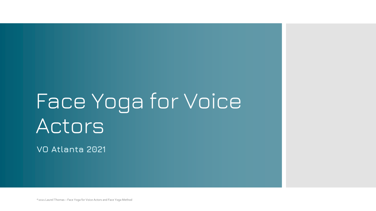# Face Yoga for Voice Actors

**VO Atlanta 2021**

©2021 Laurel Thomas – Face Yoga for Voice Actors and Face Yoga Method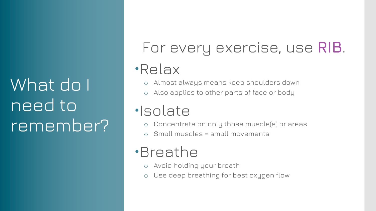What do I need to remember?

## For every exercise, use **RIB**.

### Relax

- o Almost always means keep shoulders down
- o Also applies to other parts of face or body

### ·Isolate

- o Concentrate on only those muscle(s) or areas
- Small muscles = small movements

### Breathe

- o Avoid holding your breath
- o Use deep breathing for best oxygen flow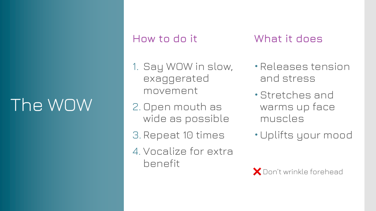## The WOW

#### **How to do it**

#### **What it does**

- 1. Say WOW in slow, exaggerated movement
- 2. Open mouth as wide as possible
- 3. Repeat 10 times
- 4. Vocalize for extra benefit
- Releases tension and stress
- Stretches and warms up face muscles
- Uplifts your mood

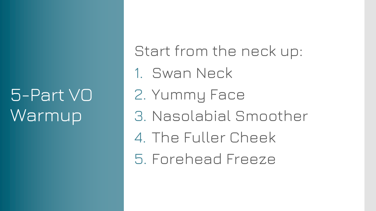## 5-Part VO **Warmup**

Start from the neck up: 1. Swan Neck 2. Yummy Face 3. Nasolabial Smoother 4. The Fuller Cheek 5. Forehead Freeze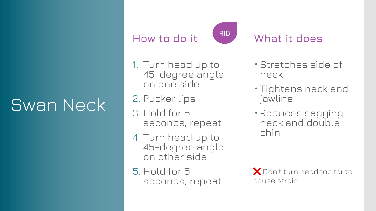## Swan Neck

### **How to do it**



#### **What it does**

- 1. Turn head up to 45-degree angle on one side
- 2. Pucker lips
- 3. Hold for 5 seconds, repeat
- 4. Turn head up to 45-degree angle on other side
- 5. Hold for 5 seconds, repeat
- Stretches side of neck
- Tightens neck and jawline
- Reduces sagging neck and double chin

❌ Don't turn head too far to cause strain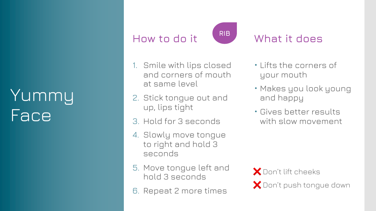## Yummy Face

### **How to do it**



#### **What it does**

- 1. Smile with lips closed and corners of mouth at same level
- 2. Stick tongue out and up, lips tight
- 3. Hold for 3 seconds
- 4. Slowly move tongue to right and hold 3 seconds
- 5. Move tongue left and hold 3 seconds
- 6. Repeat 2 more times
- Lifts the corners of your mouth
- Makes you look young and happy
- Gives better results with slow movement

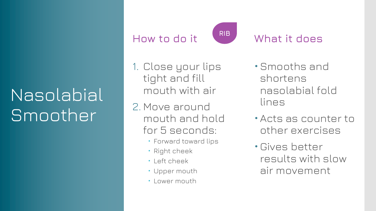## Nasolabial Smoother

### **How to do it**



#### **What it does**

- 1. Close your lips tight and fill mouth with air
- 2. Move around mouth and hold for 5 seconds:
	- Forward toward lips
	- Right cheek
	- · Left cheek
	- Upper mouth
	- Lower mouth
- Smooths and shortens nasolabial fold lines
- Acts as counter to other exercises
- Gives better results with slow air movement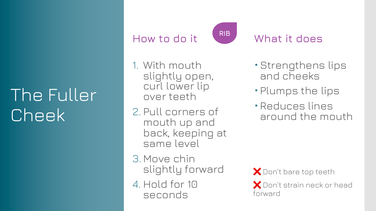## The Fuller Cheek

### **How to do it**

**RIB**

#### **What it does**

- 1. With mouth slightly open, curl lower lip over teeth
- 2. Pull corners of mouth up and back, keeping at same level
- 3. Move chin slightly forward
- 4. Hold for 10 seconds

Strengthens lips and cheeks

- Plumps the lips
- Reduces lines around the mouth

❌ Don't bare top teeth

❌ Don't strain neck or head forward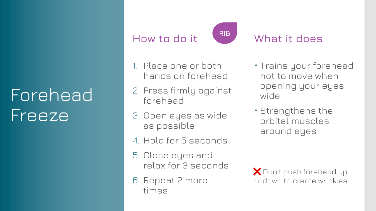## Forehead Freeze

#### **How to do it**



#### **What it does**

- 1. Place one or both hands on forehead
- 2. Press firmly against forehead
- 3. Open eyes as wide as possible
- 4. Hold for 5 seconds
- 5. Close eyes and relax for 3 seconds
- 6. Repeat 2 more times
- Trains your forehead not to move when opening your eyes wide
- Strengthens the orbital muscles around eyes

❌ Don't push forehead up or down to create wrinkles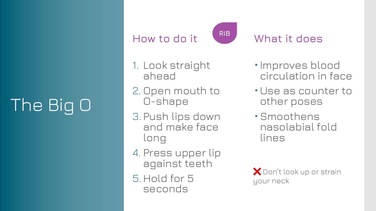## The Big O

### **How to do it**



#### **What it does**

- 1. Look straight ahead
- 2. Open mouth to O-shape
- 3. Push lips down and make face long
- 4. Press upper lip against teeth
- 5. Hold for 5 seconds
- Improves blood circulation in face
- Use as counter to other poses
- Smoothens nasolabial fold lines

❌ Don't look up or strain your neck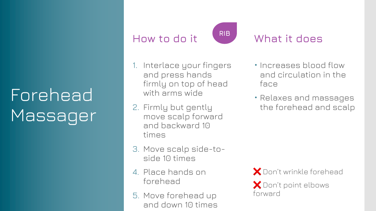## Forehead Massager

### **How to do it**



#### **What it does**

- 1. Interlace your fingers and press hands firmly on top of head with arms wide
- 2. Firmly but gently move scalp forward and backward 10 times
- 3. Move scalp side-toside 10 times
- 4. Place hands on forehead
- 5. Move forehead up and down 10 times
- Increases blood flow and circulation in the face
- Relaxes and massages the forehead and scalp

❌ Don't wrinkle forehead

❌ Don't point elbows forward